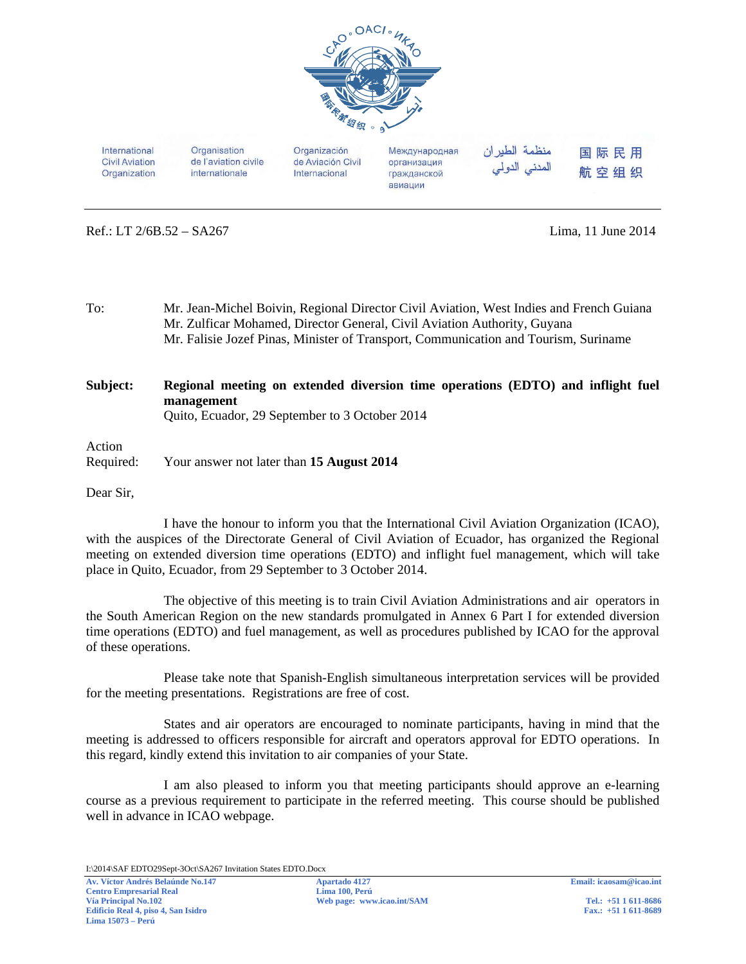

International **Civil Aviation** Organization Organisation de l'aviation civile internationale

Organización de Aviación Civil Internacional

Международная организация гражданской авиации

منظمة الطيران المدنى الدولى 国际民用 航空组织

Ref.: LT 2/6B.52 – SA267 Lima, 11 June 2014

To: Mr. Jean-Michel Boivin, Regional Director Civil Aviation, West Indies and French Guiana Mr. Zulficar Mohamed, Director General, Civil Aviation Authority, Guyana Mr. Falisie Jozef Pinas, Minister of Transport, Communication and Tourism, Suriname

## **Subject: Regional meeting on extended diversion time operations (EDTO) and inflight fuel management**  Quito, Ecuador, 29 September to 3 October 2014

## Action Required: Your answer not later than **15 August 2014**

Dear Sir,

 I have the honour to inform you that the International Civil Aviation Organization (ICAO), with the auspices of the Directorate General of Civil Aviation of Ecuador, has organized the Regional meeting on extended diversion time operations (EDTO) and inflight fuel management, which will take place in Quito, Ecuador, from 29 September to 3 October 2014.

 The objective of this meeting is to train Civil Aviation Administrations and air operators in the South American Region on the new standards promulgated in Annex 6 Part I for extended diversion time operations (EDTO) and fuel management, as well as procedures published by ICAO for the approval of these operations.

 Please take note that Spanish-English simultaneous interpretation services will be provided for the meeting presentations. Registrations are free of cost.

 States and air operators are encouraged to nominate participants, having in mind that the meeting is addressed to officers responsible for aircraft and operators approval for EDTO operations. In this regard, kindly extend this invitation to air companies of your State.

I am also pleased to inform you that meeting participants should approve an e-learning course as a previous requirement to participate in the referred meeting. This course should be published well in advance in ICAO webpage.

I:\2014\SAF EDTO29Sept-3Oct\SA267 Invitation States EDTO.Docx